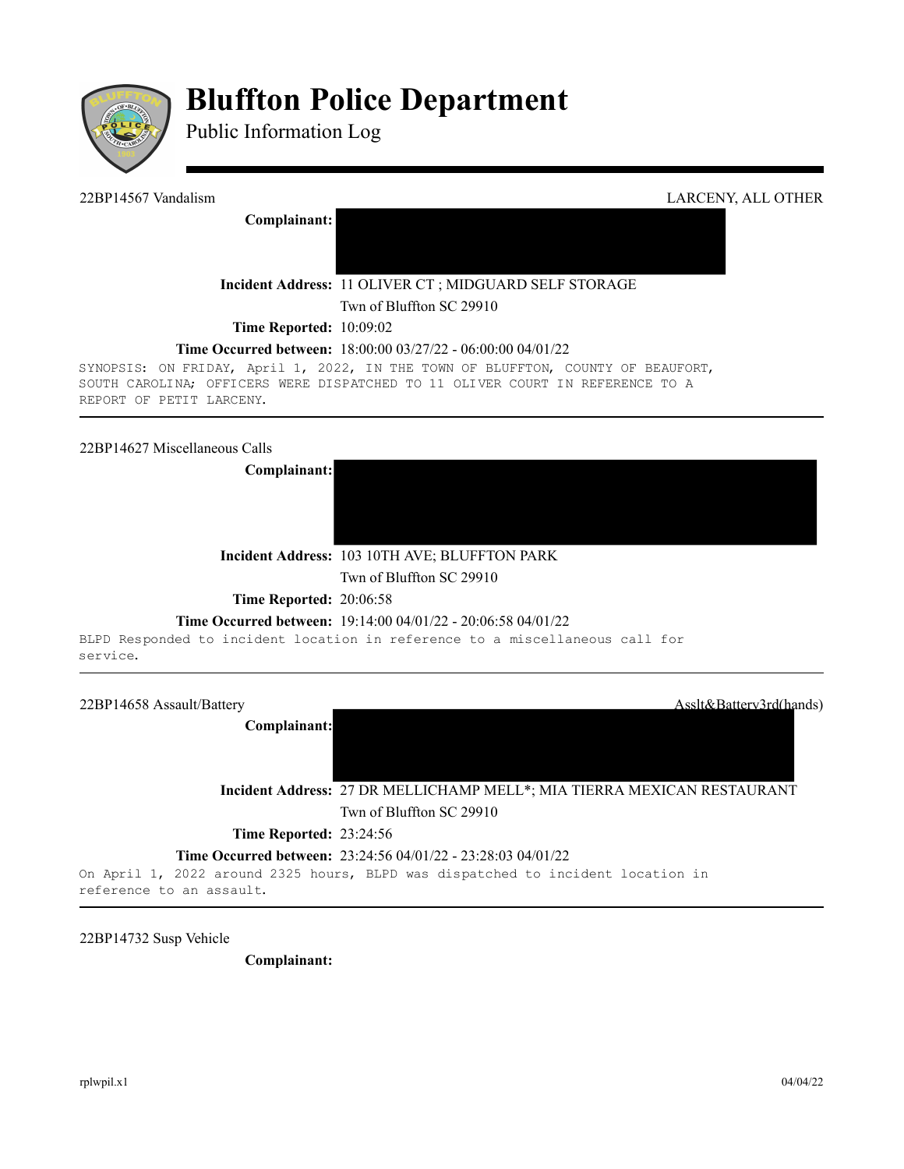

# **Bluffton Police Department**

Public Information Log

**Complainant:** 

22BP14567 Vandalism LARCENY, ALL OTHER

**Incident Address:** 11 OLIVER CT ; MIDGUARD SELF STORAGE

Twn of Bluffton SC 29910

**Time Reported:** 10:09:02

## **Time Occurred between:** 18:00:00 03/27/22 - 06:00:00 04/01/22

SYNOPSIS: ON FRIDAY, April 1, 2022, IN THE TOWN OF BLUFFTON, COUNTY OF BEAUFORT, SOUTH CAROLINA; OFFICERS WERE DISPATCHED TO 11 OLIVER COURT IN REFERENCE TO A REPORT OF PETIT LARCENY.

# 22BP14627 Miscellaneous Calls



**Incident Address:** 103 10TH AVE; BLUFFTON PARK

Twn of Bluffton SC 29910

**Time Reported:** 20:06:58

### **Time Occurred between:** 19:14:00 04/01/22 - 20:06:58 04/01/22

BLPD Responded to incident location in reference to a miscellaneous call for service.



22BP14732 Susp Vehicle

**Complainant:**